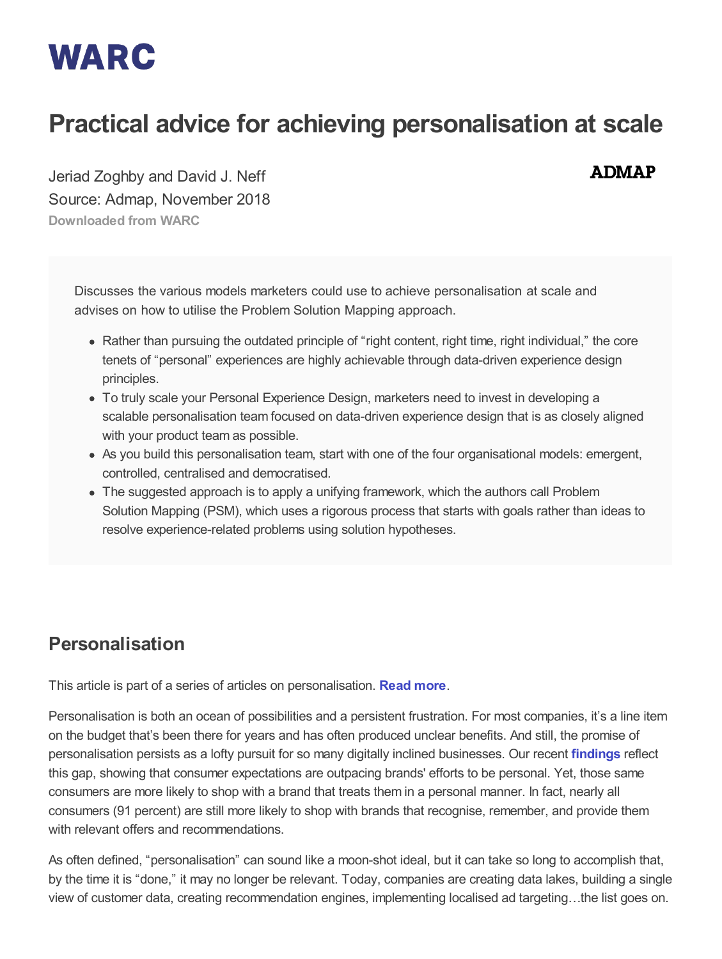# **WARC**

# **Practical advice for achieving personalisation at scale**

Jeriad Zoghby and David J. Neff Source: Admap, November 2018 **Downloaded from WARC**

> Discusses the various models marketers could use to achieve personalisation at scale and advises on how to utilise the Problem Solution Mapping approach.

- Rather than pursuing the outdated principle of "right content, right time, right individual," the core tenets of "personal" experiences are highly achievable through data-driven experience design principles.
- To truly scale your Personal Experience Design, marketers need to invest in developing a scalable personalisation team focused on data-driven experience design that is as closely aligned with your product team as possible.
- As you build this personalisation team, start with one of the four organisational models: emergent, controlled, centralised and democratised.
- The suggested approach is to apply a unifying framework, which the authors call Problem Solution Mapping (PSM), which uses a rigorous process that starts with goals rather than ideas to resolve experience-related problems using solution hypotheses.

### **Personalisation**

This article is part of a series of articles on personalisation. **[Read more](#page-5-0)**.

Personalisation is both an ocean of possibilities and a persistent frustration. For most companies, it's a line item on the budget that's been there for years and has often produced unclear benefits. And still, the promise of personalisation persists as a lofty pursuit for so many digitally inclined businesses. Our recent **[findings](https://www.accenture.com/t20180503T034117Z__w__/us-en/_acnmedia/PDF-77/Accenture-Pulse-Survey.pdf%23zoom=50)** reflect this gap, showing that consumer expectations are outpacing brands' efforts to be personal. Yet, those same consumers are more likely to shop with a brand that treats them in a personal manner. In fact, nearly all consumers (91 percent) are still more likely to shop with brands that recognise, remember, and provide them with relevant offers and recommendations.

As often defined, "personalisation" can sound like a moon-shot ideal, but it can take so long to accomplish that, by the time it is "done," it may no longer be relevant. Today, companies are creating data lakes, building a single view of customer data, creating recommendation engines, implementing localised ad targeting…the list goes on.

**ADMAP**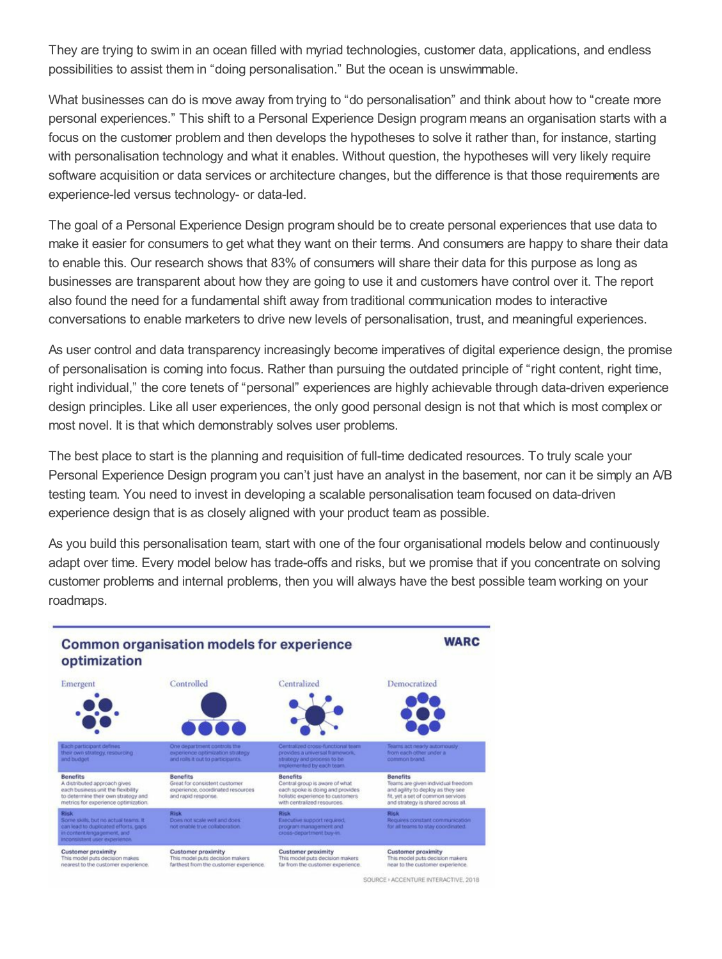They are trying to swim in an ocean filled with myriad technologies, customer data, applications, and endless possibilities to assist them in "doing personalisation." But the ocean is unswimmable.

What businesses can do is move away from trying to "do personalisation" and think about how to "create more personal experiences." This shift to a Personal Experience Design program means an organisation starts with a focus on the customer problem and then develops the hypotheses to solve it rather than, for instance, starting with personalisation technology and what it enables. Without question, the hypotheses will very likely require software acquisition or data services or architecture changes, but the difference is that those requirements are experience-led versus technology- or data-led.

The goal of a Personal Experience Design program should be to create personal experiences that use data to make it easier for consumers to get what they want on their terms. And consumers are happy to share their data to enable this. Our research shows that 83% of consumers will share their data for this purpose as long as businesses are transparent about how they are going to use it and customers have control over it. The report also found the need for a fundamental shift away from traditional communication modes to interactive conversations to enable marketers to drive new levels of personalisation, trust, and meaningful experiences.

As user control and data transparency increasingly become imperatives of digital experience design, the promise of personalisation is coming into focus. Rather than pursuing the outdated principle of "right content, right time, right individual," the core tenets of "personal" experiences are highly achievable through data-driven experience design principles. Like all user experiences, the only good personal design is not that which is most complex or most novel. It is that which demonstrably solves user problems.

The best place to start is the planning and requisition of full-time dedicated resources. To truly scale your Personal Experience Design program you can't just have an analyst in the basement, nor can it be simply an A/B testing team. You need to invest in developing a scalable personalisation team focused on data-driven experience design that is as closely aligned with your product team as possible.

As you build this personalisation team, start with one of the four organisational models below and continuously adapt over time. Every model below has trade-offs and risks, but we promise that if you concentrate on solving customer problems and internal problems, then you will always have the best possible team working on your roadmaps.

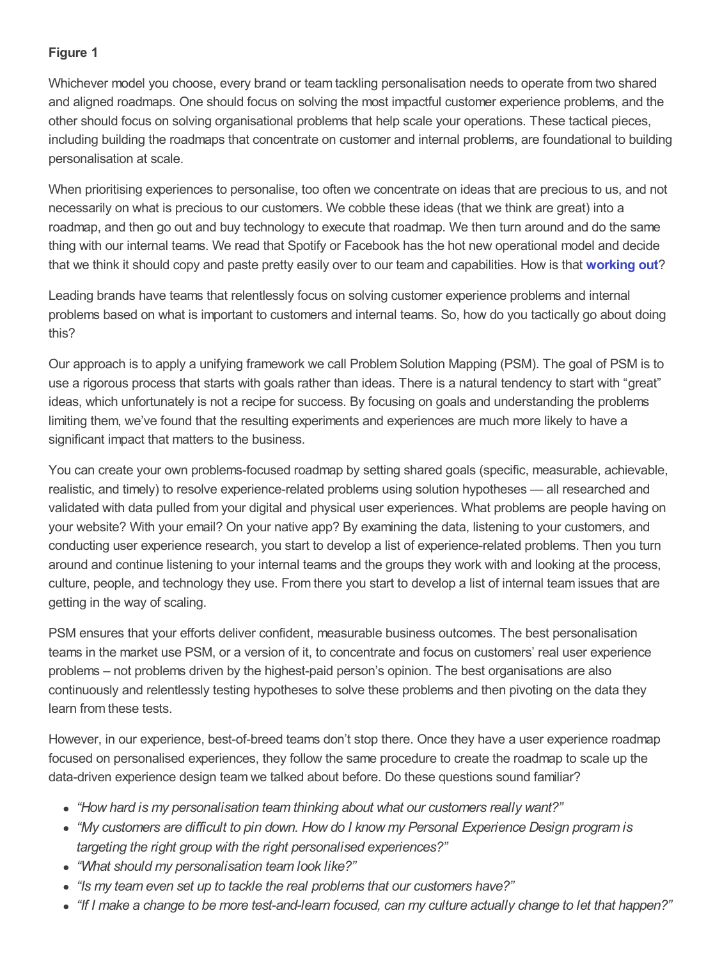#### **Figure 1**

Whichever model you choose, every brand or team tackling personalisation needs to operate from two shared and aligned roadmaps. One should focus on solving the most impactful customer experience problems, and the other should focus on solving organisational problems that help scale your operations. These tactical pieces, including building the roadmaps that concentrate on customer and internal problems, are foundational to building personalisation at scale.

When prioritising experiences to personalise, too often we concentrate on ideas that are precious to us, and not necessarily on what is precious to our customers. We cobble these ideas (that we think are great) into a roadmap, and then go out and buy technology to execute that roadmap. We then turn around and do the same thing with our internal teams. We read that Spotify or Facebook has the hot new operational model and decide that we think it should copy and paste pretty easily over to our team and capabilities. How is that **[working](https://hbr.org/2017/11/what-everyone-gets-wrong-about-change-management) out**?

Leading brands have teams that relentlessly focus on solving customer experience problems and internal problems based on what is important to customers and internal teams. So, how do you tactically go about doing this?

Our approach is to apply a unifying framework we call Problem Solution Mapping (PSM). The goal of PSM is to use a rigorous process that starts with goals rather than ideas. There is a natural tendency to start with "great" ideas, which unfortunately is not a recipe for success. By focusing on goals and understanding the problems limiting them, we've found that the resulting experiments and experiences are much more likely to have a significant impact that matters to the business.

You can create your own problems-focused roadmap by setting shared goals (specific, measurable, achievable, realistic, and timely) to resolve experience-related problems using solution hypotheses — all researched and validated with data pulled from your digital and physical user experiences. What problems are people having on your website? With your email? On your native app? By examining the data, listening to your customers, and conducting user experience research, you start to develop a list of experience-related problems. Then you turn around and continue listening to your internal teams and the groups they work with and looking at the process, culture, people, and technology they use. From there you start to develop a list of internal team issues that are getting in the way of scaling.

PSM ensures that your efforts deliver confident, measurable business outcomes. The best personalisation teams in the market use PSM, or a version of it, to concentrate and focus on customers' real user experience problems – not problems driven by the highest-paid person's opinion. The best organisations are also continuously and relentlessly testing hypotheses to solve these problems and then pivoting on the data they learn from these tests.

However, in our experience, best-of-breed teams don't stop there. Once they have a user experience roadmap focused on personalised experiences, they follow the same procedure to create the roadmap to scale up the data-driven experience design team we talked about before. Do these questions sound familiar?

- *"How hard is my personalisation team thinking about what our customers really want?"*
- *"My customers are difficult to pin down. How do I know my Personal Experience Design program is targeting the right group with the right personalised experiences?"*
- *"What should my personalisation team look like?"*
- *"Is my team even set up to tackle the real problems that our customers have?"*
- "If I make a change to be more test-and-learn focused, can my culture actually change to let that happen?"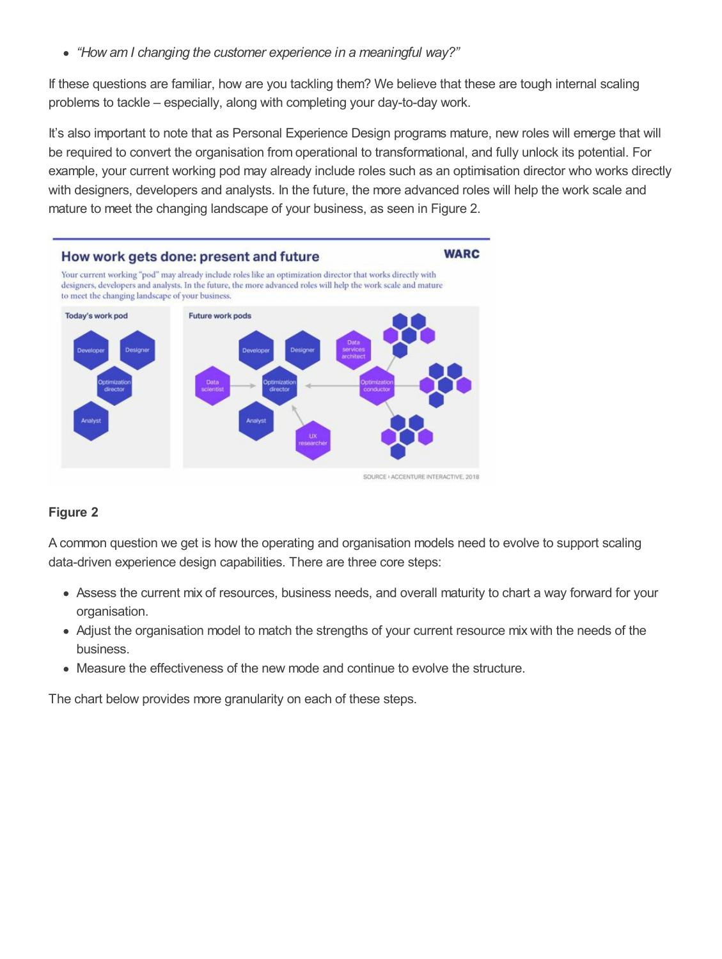*"How am I changing the customer experience in a meaningful way?"*

If these questions are familiar, how are you tackling them? We believe that these are tough internal scaling problems to tackle – especially, along with completing your day-to-day work.

It's also important to note that as Personal Experience Design programs mature, new roles will emerge that will be required to convert the organisation from operational to transformational, and fully unlock its potential. For example, your current working pod may already include roles such as an optimisation director who works directly with designers, developers and analysts. In the future, the more advanced roles will help the work scale and mature to meet the changing landscape of your business, as seen in Figure 2.



#### **Figure 2**

A common question we get is how the operating and organisation models need to evolve to support scaling data-driven experience design capabilities. There are three core steps:

- Assess the current mix of resources, business needs, and overall maturity to chart a way forward for your organisation.
- Adjust the organisation model to match the strengths of your current resource mix with the needs of the business.
- Measure the effectiveness of the new mode and continue to evolve the structure.

The chart below provides more granularity on each of these steps.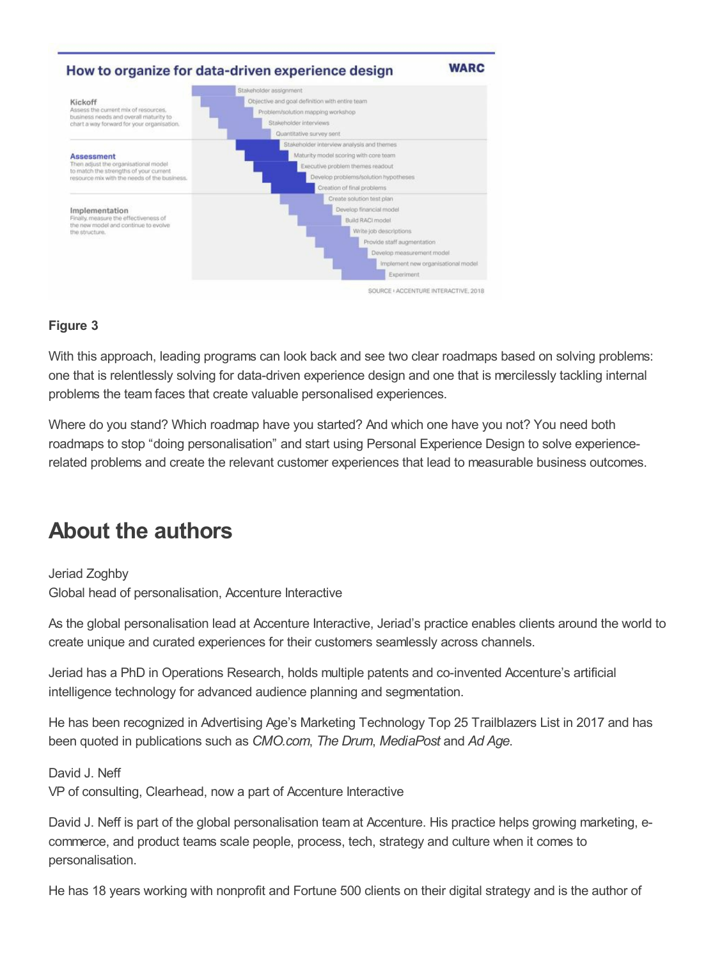

#### **Figure 3**

With this approach, leading programs can look back and see two clear roadmaps based on solving problems: one that is relentlessly solving for data-driven experience design and one that is mercilessly tackling internal problems the team faces that create valuable personalised experiences.

Where do you stand? Which roadmap have you started? And which one have you not? You need both roadmaps to stop "doing personalisation" and start using Personal Experience Design to solve experiencerelated problems and create the relevant customer experiences that lead to measurable business outcomes.

# **About the authors**

Jeriad Zoghby Global head of personalisation, Accenture Interactive

As the global personalisation lead at Accenture Interactive, Jeriad's practice enables clients around the world to create unique and curated experiences for their customers seamlessly across channels.

Jeriad has a PhD in Operations Research, holds multiple patents and co-invented Accenture's artificial intelligence technology for advanced audience planning and segmentation.

He has been recognized in Advertising Age's Marketing Technology Top 25 Trailblazers List in 2017 and has been quoted in publications such as *CMO.com*, *The Drum*, *MediaPost* and *Ad Age*.

David J. Neff VP of consulting, Clearhead, now a part of Accenture Interactive

David J. Neff is part of the global personalisation team at Accenture. His practice helps growing marketing, ecommerce, and product teams scale people, process, tech, strategy and culture when it comes to personalisation.

He has 18 years working with nonprofit and Fortune 500 clients on their digital strategy and is the author of